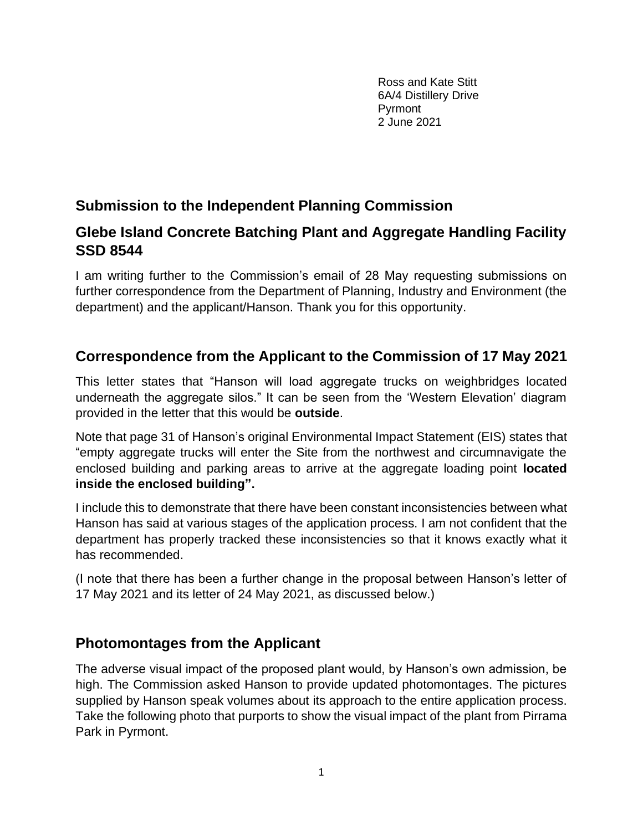Ross and Kate Stitt 6A/4 Distillery Drive Pyrmont 2 June 2021

# **Submission to the Independent Planning Commission**

# **Glebe Island Concrete Batching Plant and Aggregate Handling Facility SSD 8544**

I am writing further to the Commission's email of 28 May requesting submissions on further correspondence from the Department of Planning, Industry and Environment (the department) and the applicant/Hanson. Thank you for this opportunity.

# **Correspondence from the Applicant to the Commission of 17 May 2021**

This letter states that "Hanson will load aggregate trucks on weighbridges located underneath the aggregate silos." It can be seen from the 'Western Elevation' diagram provided in the letter that this would be **outside**.

Note that page 31 of Hanson's original Environmental Impact Statement (EIS) states that "empty aggregate trucks will enter the Site from the northwest and circumnavigate the enclosed building and parking areas to arrive at the aggregate loading point **located inside the enclosed building".** 

I include this to demonstrate that there have been constant inconsistencies between what Hanson has said at various stages of the application process. I am not confident that the department has properly tracked these inconsistencies so that it knows exactly what it has recommended.

(I note that there has been a further change in the proposal between Hanson's letter of 17 May 2021 and its letter of 24 May 2021, as discussed below.)

# **Photomontages from the Applicant**

The adverse visual impact of the proposed plant would, by Hanson's own admission, be high. The Commission asked Hanson to provide updated photomontages. The pictures supplied by Hanson speak volumes about its approach to the entire application process. Take the following photo that purports to show the visual impact of the plant from Pirrama Park in Pyrmont.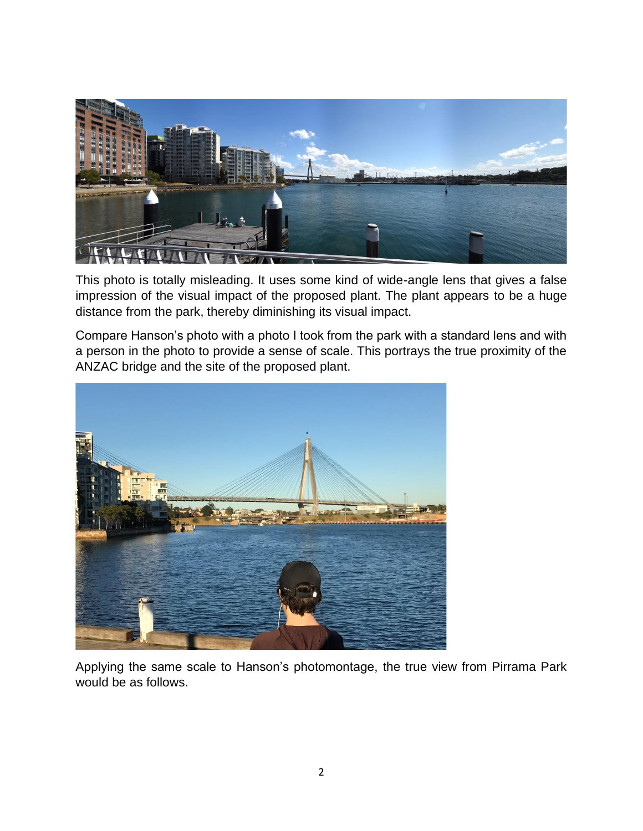

This photo is totally misleading. It uses some kind of wide-angle lens that gives a false impression of the visual impact of the proposed plant. The plant appears to be a huge distance from the park, thereby diminishing its visual impact.

Compare Hanson's photo with a photo I took from the park with a standard lens and with a person in the photo to provide a sense of scale. This portrays the true proximity of the ANZAC bridge and the site of the proposed plant.



Applying the same scale to Hanson's photomontage, the true view from Pirrama Park would be as follows.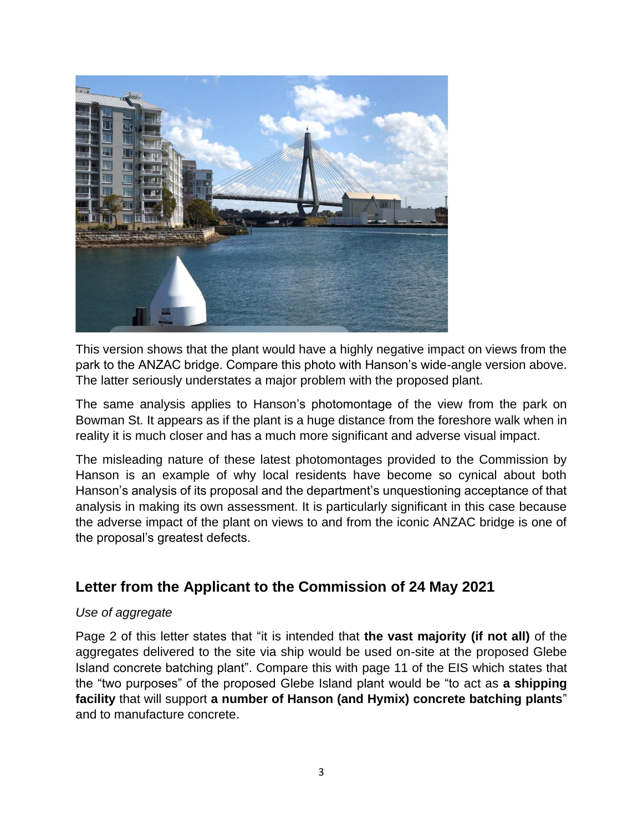

This version shows that the plant would have a highly negative impact on views from the park to the ANZAC bridge. Compare this photo with Hanson's wide-angle version above. The latter seriously understates a major problem with the proposed plant.

The same analysis applies to Hanson's photomontage of the view from the park on Bowman St. It appears as if the plant is a huge distance from the foreshore walk when in reality it is much closer and has a much more significant and adverse visual impact.

The misleading nature of these latest photomontages provided to the Commission by Hanson is an example of why local residents have become so cynical about both Hanson's analysis of its proposal and the department's unquestioning acceptance of that analysis in making its own assessment. It is particularly significant in this case because the adverse impact of the plant on views to and from the iconic ANZAC bridge is one of the proposal's greatest defects.

# **Letter from the Applicant to the Commission of 24 May 2021**

#### *Use of aggregate*

Page 2 of this letter states that "it is intended that **the vast majority (if not all)** of the aggregates delivered to the site via ship would be used on-site at the proposed Glebe Island concrete batching plant". Compare this with page 11 of the EIS which states that the "two purposes" of the proposed Glebe Island plant would be "to act as **a shipping facility** that will support **a number of Hanson (and Hymix) concrete batching plants**" and to manufacture concrete.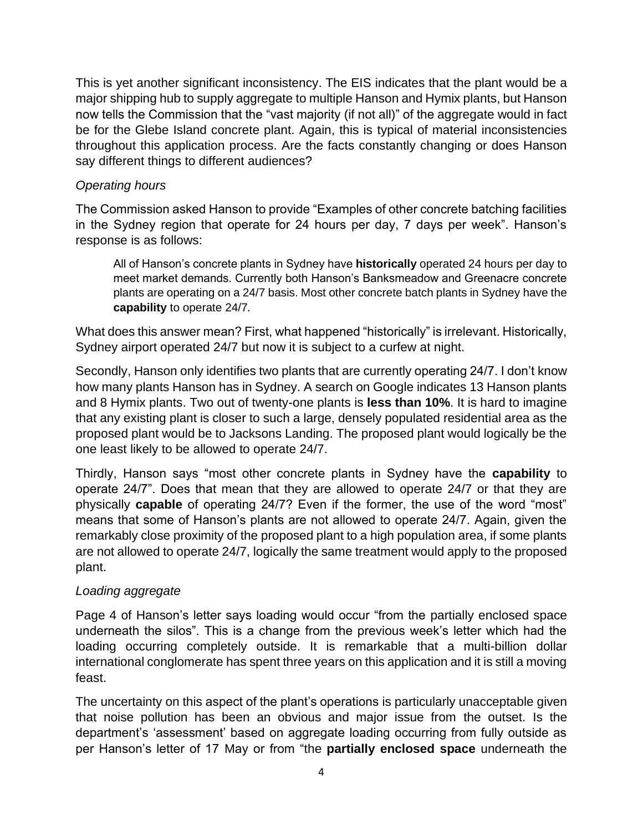This is yet another significant inconsistency. The EIS indicates that the plant would be a major shipping hub to supply aggregate to multiple Hanson and Hymix plants, but Hanson now tells the Commission that the "vast majority (if not all)" of the aggregate would in fact be for the Glebe Island concrete plant. Again, this is typical of material inconsistencies throughout this application process. Are the facts constantly changing or does Hanson say different things to different audiences?

### *Operating hours*

The Commission asked Hanson to provide "Examples of other concrete batching facilities in the Sydney region that operate for 24 hours per day, 7 days per week". Hanson's response is as follows:

All of Hanson's concrete plants in Sydney have **historically** operated 24 hours per day to meet market demands. Currently both Hanson's Banksmeadow and Greenacre concrete plants are operating on a 24/7 basis. Most other concrete batch plants in Sydney have the **capability** to operate 24/7*.*

What does this answer mean? First, what happened "historically" is irrelevant. Historically, Sydney airport operated 24/7 but now it is subject to a curfew at night.

Secondly, Hanson only identifies two plants that are currently operating 24/7. I don't know how many plants Hanson has in Sydney. A search on Google indicates 13 Hanson plants and 8 Hymix plants. Two out of twenty-one plants is **less than 10%**. It is hard to imagine that any existing plant is closer to such a large, densely populated residential area as the proposed plant would be to Jacksons Landing. The proposed plant would logically be the one least likely to be allowed to operate 24/7.

Thirdly, Hanson says "most other concrete plants in Sydney have the **capability** to operate 24/7". Does that mean that they are allowed to operate 24/7 or that they are physically **capable** of operating 24/7? Even if the former, the use of the word "most" means that some of Hanson's plants are not allowed to operate 24/7. Again, given the remarkably close proximity of the proposed plant to a high population area, if some plants are not allowed to operate 24/7, logically the same treatment would apply to the proposed plant.

### *Loading aggregate*

Page 4 of Hanson's letter says loading would occur "from the partially enclosed space underneath the silos". This is a change from the previous week's letter which had the loading occurring completely outside. It is remarkable that a multi-billion dollar international conglomerate has spent three years on this application and it is still a moving feast.

The uncertainty on this aspect of the plant's operations is particularly unacceptable given that noise pollution has been an obvious and major issue from the outset. Is the department's 'assessment' based on aggregate loading occurring from fully outside as per Hanson's letter of 17 May or from "the **partially enclosed space** underneath the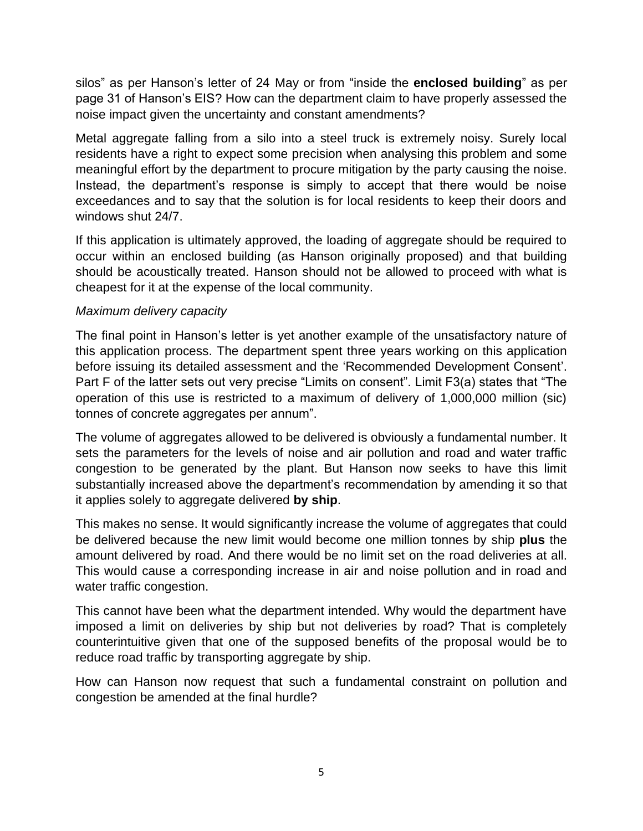silos" as per Hanson's letter of 24 May or from "inside the **enclosed building**" as per page 31 of Hanson's EIS? How can the department claim to have properly assessed the noise impact given the uncertainty and constant amendments?

Metal aggregate falling from a silo into a steel truck is extremely noisy. Surely local residents have a right to expect some precision when analysing this problem and some meaningful effort by the department to procure mitigation by the party causing the noise. Instead, the department's response is simply to accept that there would be noise exceedances and to say that the solution is for local residents to keep their doors and windows shut 24/7.

If this application is ultimately approved, the loading of aggregate should be required to occur within an enclosed building (as Hanson originally proposed) and that building should be acoustically treated. Hanson should not be allowed to proceed with what is cheapest for it at the expense of the local community.

#### *Maximum delivery capacity*

The final point in Hanson's letter is yet another example of the unsatisfactory nature of this application process. The department spent three years working on this application before issuing its detailed assessment and the 'Recommended Development Consent'. Part F of the latter sets out very precise "Limits on consent". Limit F3(a) states that "The operation of this use is restricted to a maximum of delivery of 1,000,000 million (sic) tonnes of concrete aggregates per annum".

The volume of aggregates allowed to be delivered is obviously a fundamental number. It sets the parameters for the levels of noise and air pollution and road and water traffic congestion to be generated by the plant. But Hanson now seeks to have this limit substantially increased above the department's recommendation by amending it so that it applies solely to aggregate delivered **by ship**.

This makes no sense. It would significantly increase the volume of aggregates that could be delivered because the new limit would become one million tonnes by ship **plus** the amount delivered by road. And there would be no limit set on the road deliveries at all. This would cause a corresponding increase in air and noise pollution and in road and water traffic congestion.

This cannot have been what the department intended. Why would the department have imposed a limit on deliveries by ship but not deliveries by road? That is completely counterintuitive given that one of the supposed benefits of the proposal would be to reduce road traffic by transporting aggregate by ship.

How can Hanson now request that such a fundamental constraint on pollution and congestion be amended at the final hurdle?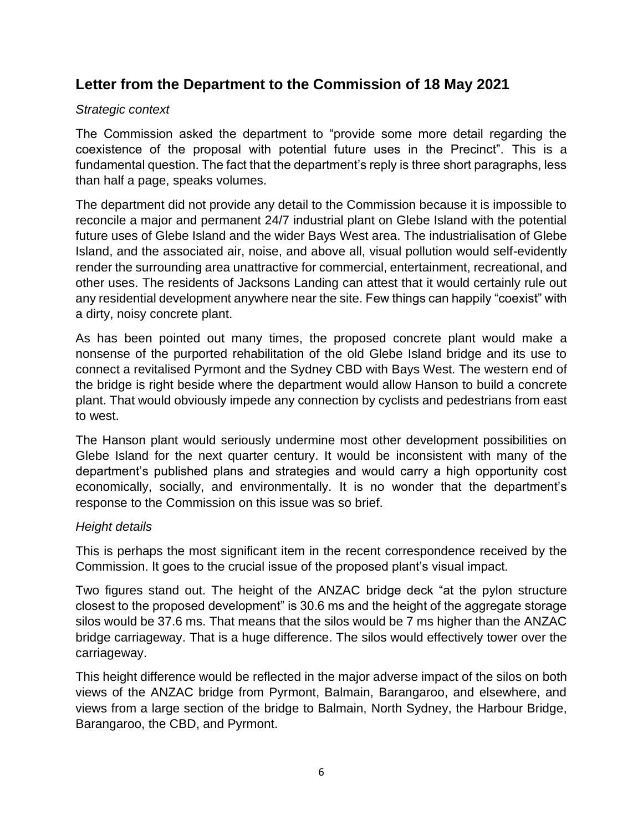# **Letter from the Department to the Commission of 18 May 2021**

### *Strategic context*

The Commission asked the department to "provide some more detail regarding the coexistence of the proposal with potential future uses in the Precinct". This is a fundamental question. The fact that the department's reply is three short paragraphs, less than half a page, speaks volumes.

The department did not provide any detail to the Commission because it is impossible to reconcile a major and permanent 24/7 industrial plant on Glebe Island with the potential future uses of Glebe Island and the wider Bays West area. The industrialisation of Glebe Island, and the associated air, noise, and above all, visual pollution would self-evidently render the surrounding area unattractive for commercial, entertainment, recreational, and other uses. The residents of Jacksons Landing can attest that it would certainly rule out any residential development anywhere near the site. Few things can happily "coexist" with a dirty, noisy concrete plant.

As has been pointed out many times, the proposed concrete plant would make a nonsense of the purported rehabilitation of the old Glebe Island bridge and its use to connect a revitalised Pyrmont and the Sydney CBD with Bays West. The western end of the bridge is right beside where the department would allow Hanson to build a concrete plant. That would obviously impede any connection by cyclists and pedestrians from east to west.

The Hanson plant would seriously undermine most other development possibilities on Glebe Island for the next quarter century. It would be inconsistent with many of the department's published plans and strategies and would carry a high opportunity cost economically, socially, and environmentally. It is no wonder that the department's response to the Commission on this issue was so brief.

### *Height details*

This is perhaps the most significant item in the recent correspondence received by the Commission. It goes to the crucial issue of the proposed plant's visual impact.

Two figures stand out. The height of the ANZAC bridge deck "at the pylon structure closest to the proposed development" is 30.6 ms and the height of the aggregate storage silos would be 37.6 ms. That means that the silos would be 7 ms higher than the ANZAC bridge carriageway. That is a huge difference. The silos would effectively tower over the carriageway.

This height difference would be reflected in the major adverse impact of the silos on both views of the ANZAC bridge from Pyrmont, Balmain, Barangaroo, and elsewhere, and views from a large section of the bridge to Balmain, North Sydney, the Harbour Bridge, Barangaroo, the CBD, and Pyrmont.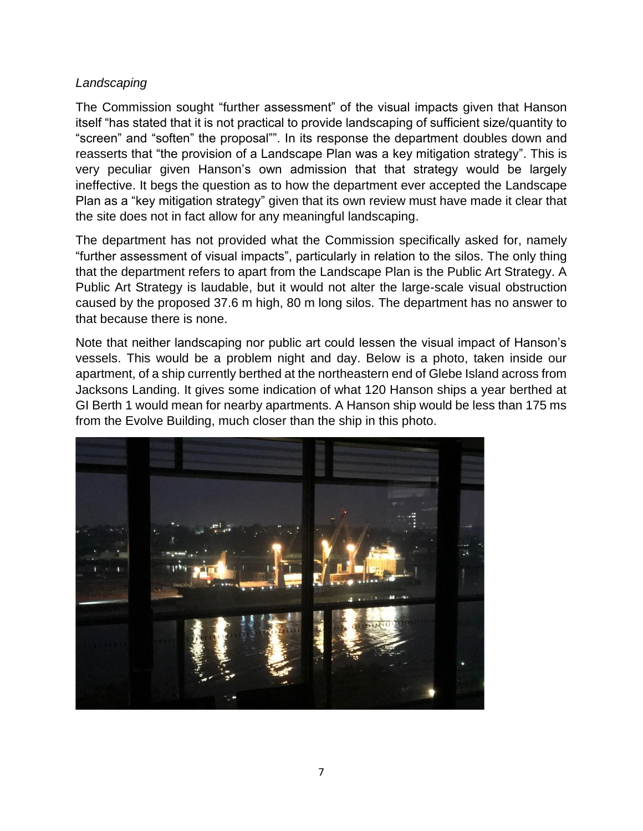#### *Landscaping*

The Commission sought "further assessment" of the visual impacts given that Hanson itself "has stated that it is not practical to provide landscaping of sufficient size/quantity to "screen" and "soften" the proposal"". In its response the department doubles down and reasserts that "the provision of a Landscape Plan was a key mitigation strategy". This is very peculiar given Hanson's own admission that that strategy would be largely ineffective. It begs the question as to how the department ever accepted the Landscape Plan as a "key mitigation strategy" given that its own review must have made it clear that the site does not in fact allow for any meaningful landscaping.

The department has not provided what the Commission specifically asked for, namely "further assessment of visual impacts", particularly in relation to the silos. The only thing that the department refers to apart from the Landscape Plan is the Public Art Strategy. A Public Art Strategy is laudable, but it would not alter the large-scale visual obstruction caused by the proposed 37.6 m high, 80 m long silos. The department has no answer to that because there is none.

Note that neither landscaping nor public art could lessen the visual impact of Hanson's vessels. This would be a problem night and day. Below is a photo, taken inside our apartment, of a ship currently berthed at the northeastern end of Glebe Island across from Jacksons Landing. It gives some indication of what 120 Hanson ships a year berthed at GI Berth 1 would mean for nearby apartments. A Hanson ship would be less than 175 ms from the Evolve Building, much closer than the ship in this photo.